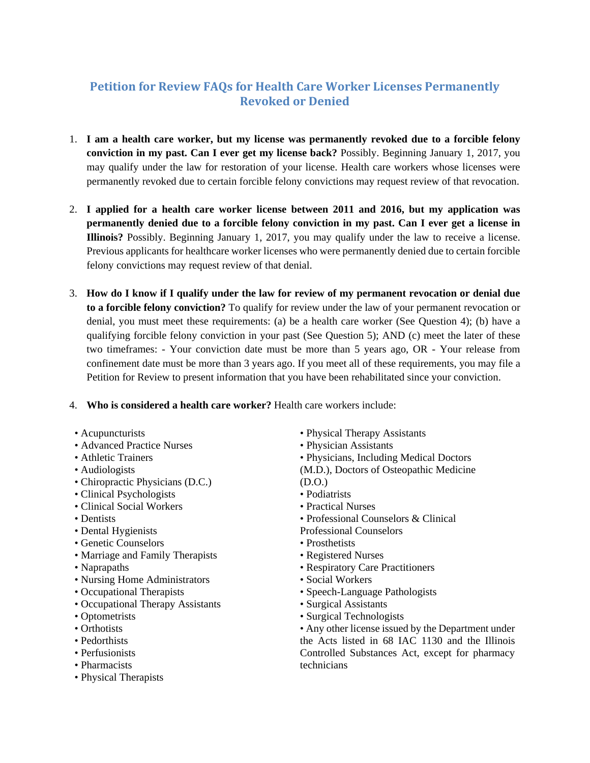## **Petition for Review FAQs for Health Care Worker Licenses Permanently Revoked or Denied**

- 1. **I am a health care worker, but my license was permanently revoked due to a forcible felony conviction in my past. Can I ever get my license back?** Possibly. Beginning January 1, 2017, you may qualify under the law for restoration of your license. Health care workers whose licenses were permanently revoked due to certain forcible felony convictions may request review of that revocation.
- 2. **I applied for a health care worker license between 2011 and 2016, but my application was permanently denied due to a forcible felony conviction in my past. Can I ever get a license in Illinois?** Possibly. Beginning January 1, 2017, you may qualify under the law to receive a license. Previous applicants for healthcare worker licenses who were permanently denied due to certain forcible felony convictions may request review of that denial.
- 3. **How do I know if I qualify under the law for review of my permanent revocation or denial due to a forcible felony conviction?** To qualify for review under the law of your permanent revocation or denial, you must meet these requirements: (a) be a health care worker (See Question 4); (b) have a qualifying forcible felony conviction in your past (See Question 5); AND (c) meet the later of these two timeframes: - Your conviction date must be more than 5 years ago, OR - Your release from confinement date must be more than 3 years ago. If you meet all of these requirements, you may file a Petition for Review to present information that you have been rehabilitated since your conviction.

## 4. **Who is considered a health care worker?** Health care workers include:

- Acupuncturists
- Advanced Practice Nurses
- Athletic Trainers
- Audiologists
- Chiropractic Physicians (D.C.)
- Clinical Psychologists
- Clinical Social Workers
- Dentists
- Dental Hygienists
- Genetic Counselors
- Marriage and Family Therapists
- Naprapaths
- Nursing Home Administrators
- Occupational Therapists
- Occupational Therapy Assistants
- Optometrists
- Orthotists
- Pedorthists
- Perfusionists
- Pharmacists
- Physical Therapists
- Physical Therapy Assistants
- Physician Assistants
- Physicians, Including Medical Doctors
- (M.D.), Doctors of Osteopathic Medicine
- (D.O.) • Podiatrists
- Practical Nurses
- Professional Counselors & Clinical
- Professional Counselors
- Prosthetists
- Registered Nurses
- Respiratory Care Practitioners
- Social Workers
- Speech-Language Pathologists
- Surgical Assistants
- Surgical Technologists
- Any other license issued by the Department under the Acts listed in 68 IAC 1130 and the Illinois Controlled Substances Act, except for pharmacy technicians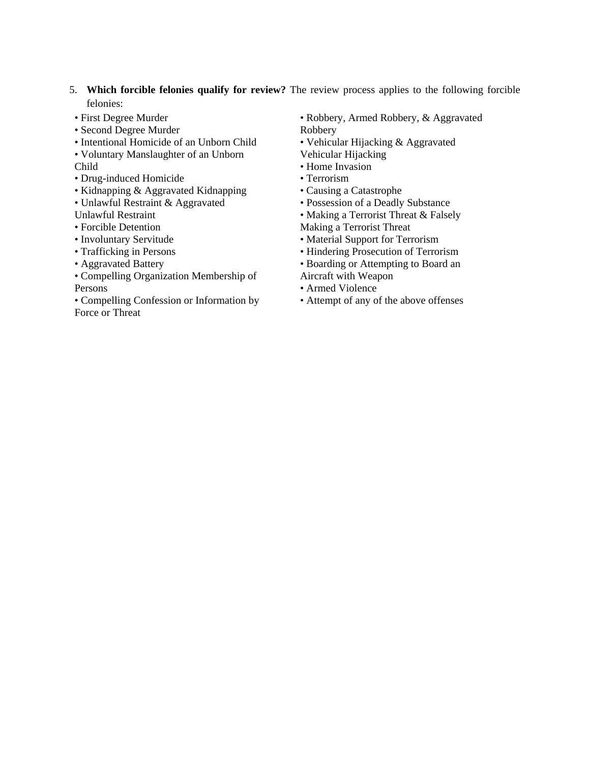- 5. **Which forcible felonies qualify for review?** The review process applies to the following forcible felonies:
- First Degree Murder
- Second Degree Murder
- Intentional Homicide of an Unborn Child
- Voluntary Manslaughter of an Unborn

Child

- Drug-induced Homicide
- Kidnapping & Aggravated Kidnapping
- Unlawful Restraint & Aggravated

Unlawful Restraint

- Forcible Detention
- Involuntary Servitude
- Trafficking in Persons
- Aggravated Battery
- Compelling Organization Membership of Persons
- Compelling Confession or Information by Force or Threat
- Robbery, Armed Robbery, & Aggravated Robbery
- Vehicular Hijacking & Aggravated
- Vehicular Hijacking
- Home Invasion
- Terrorism
- Causing a Catastrophe
- Possession of a Deadly Substance
- Making a Terrorist Threat & Falsely

Making a Terrorist Threat

- Material Support for Terrorism
- Hindering Prosecution of Terrorism
- Boarding or Attempting to Board an Aircraft with Weapon
- Armed Violence
- Attempt of any of the above offenses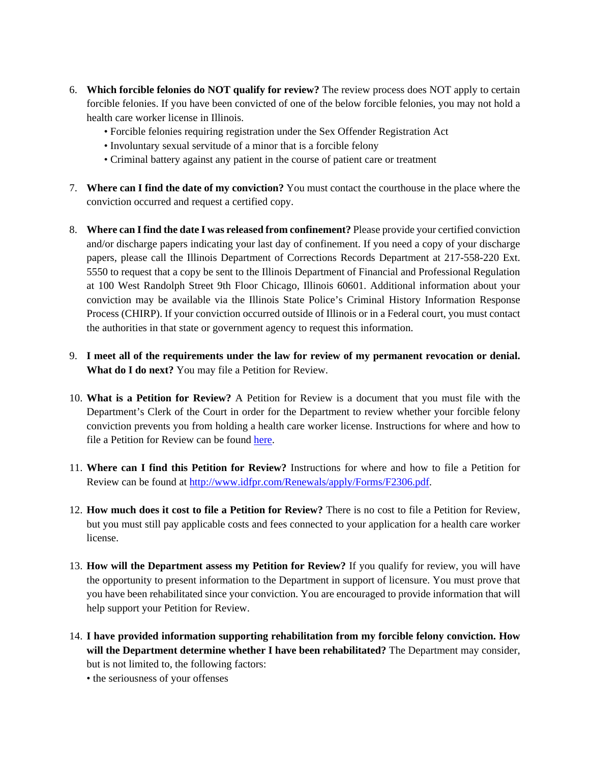- 6. **Which forcible felonies do NOT qualify for review?** The review process does NOT apply to certain forcible felonies. If you have been convicted of one of the below forcible felonies, you may not hold a health care worker license in Illinois.
	- Forcible felonies requiring registration under the Sex Offender Registration Act
	- Involuntary sexual servitude of a minor that is a forcible felony
	- Criminal battery against any patient in the course of patient care or treatment
- 7. **Where can I find the date of my conviction?** You must contact the courthouse in the place where the conviction occurred and request a certified copy.
- 8. **Where can I find the date I was released from confinement?** Please provide your certified conviction and/or discharge papers indicating your last day of confinement. If you need a copy of your discharge papers, please call the Illinois Department of Corrections Records Department at 217-558-220 Ext. 5550 to request that a copy be sent to the Illinois Department of Financial and Professional Regulation at 100 West Randolph Street 9th Floor Chicago, Illinois 60601. Additional information about your conviction may be available via the Illinois State Police's Criminal History Information Response Process (CHIRP). If your conviction occurred outside of Illinois or in a Federal court, you must contact the authorities in that state or government agency to request this information.
- 9. **I meet all of the requirements under the law for review of my permanent revocation or denial. What do I do next?** You may file a Petition for Review.
- 10. **What is a Petition for Review?** A Petition for Review is a document that you must file with the Department's Clerk of the Court in order for the Department to review whether your forcible felony conviction prevents you from holding a health care worker license. Instructions for where and how to file a Petition for Review can be found [here.](http://www.idfpr.com/Renewals/apply/Forms/F2306.pdf)
- 11. **Where can I find this Petition for Review?** Instructions for where and how to file a Petition for Review can be found at http://www.idfpr.com/Renewals/apply/Forms/F2306.pdf.
- 12. **How much does it cost to file a Petition for Review?** There is no cost to file a Petition for Review, but you must still pay applicable costs and fees connected to your application for a health care worker license.
- 13. **How will the Department assess my Petition for Review?** If you qualify for review, you will have the opportunity to present information to the Department in support of licensure. You must prove that you have been rehabilitated since your conviction. You are encouraged to provide information that will help support your Petition for Review.
- 14. **I have provided information supporting rehabilitation from my forcible felony conviction. How will the Department determine whether I have been rehabilitated?** The Department may consider, but is not limited to, the following factors:
	- the seriousness of your offenses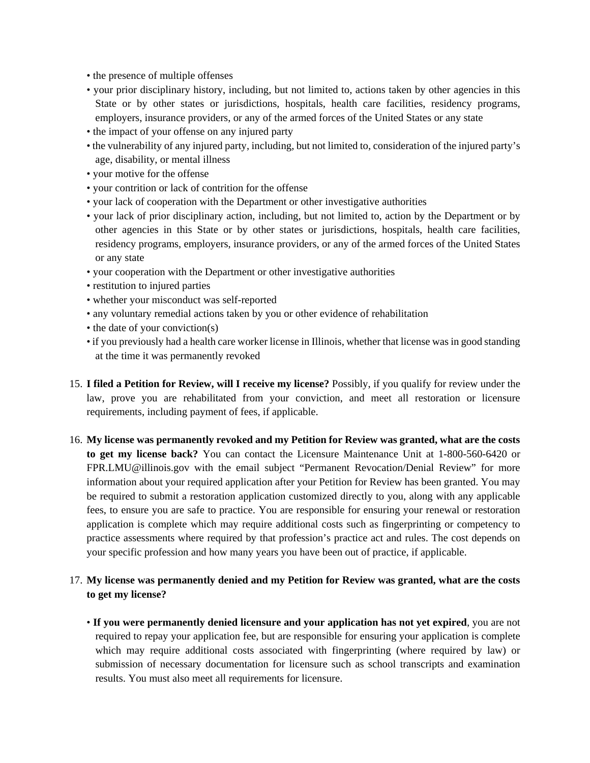- the presence of multiple offenses
- your prior disciplinary history, including, but not limited to, actions taken by other agencies in this State or by other states or jurisdictions, hospitals, health care facilities, residency programs, employers, insurance providers, or any of the armed forces of the United States or any state
- the impact of your offense on any injured party
- the vulnerability of any injured party, including, but not limited to, consideration of the injured party's age, disability, or mental illness
- your motive for the offense
- your contrition or lack of contrition for the offense
- your lack of cooperation with the Department or other investigative authorities
- your lack of prior disciplinary action, including, but not limited to, action by the Department or by other agencies in this State or by other states or jurisdictions, hospitals, health care facilities, residency programs, employers, insurance providers, or any of the armed forces of the United States or any state
- your cooperation with the Department or other investigative authorities
- restitution to injured parties
- whether your misconduct was self-reported
- any voluntary remedial actions taken by you or other evidence of rehabilitation
- the date of your conviction(s)
- if you previously had a health care worker license in Illinois, whether that license was in good standing at the time it was permanently revoked
- 15. **I filed a Petition for Review, will I receive my license?** Possibly, if you qualify for review under the law, prove you are rehabilitated from your conviction, and meet all restoration or licensure requirements, including payment of fees, if applicable.
- 16. **My license was permanently revoked and my Petition for Review was granted, what are the costs to get my license back?** You can contact the Licensure Maintenance Unit at 1-800-560-6420 or FPR.LMU@illinois.gov with the email subject "Permanent Revocation/Denial Review" for more information about your required application after your Petition for Review has been granted. You may be required to submit a restoration application customized directly to you, along with any applicable fees, to ensure you are safe to practice. You are responsible for ensuring your renewal or restoration application is complete which may require additional costs such as fingerprinting or competency to practice assessments where required by that profession's practice act and rules. The cost depends on your specific profession and how many years you have been out of practice, if applicable.
- 17. **My license was permanently denied and my Petition for Review was granted, what are the costs to get my license?** 
	- **If you were permanently denied licensure and your application has not yet expired**, you are not required to repay your application fee, but are responsible for ensuring your application is complete which may require additional costs associated with fingerprinting (where required by law) or submission of necessary documentation for licensure such as school transcripts and examination results. You must also meet all requirements for licensure.